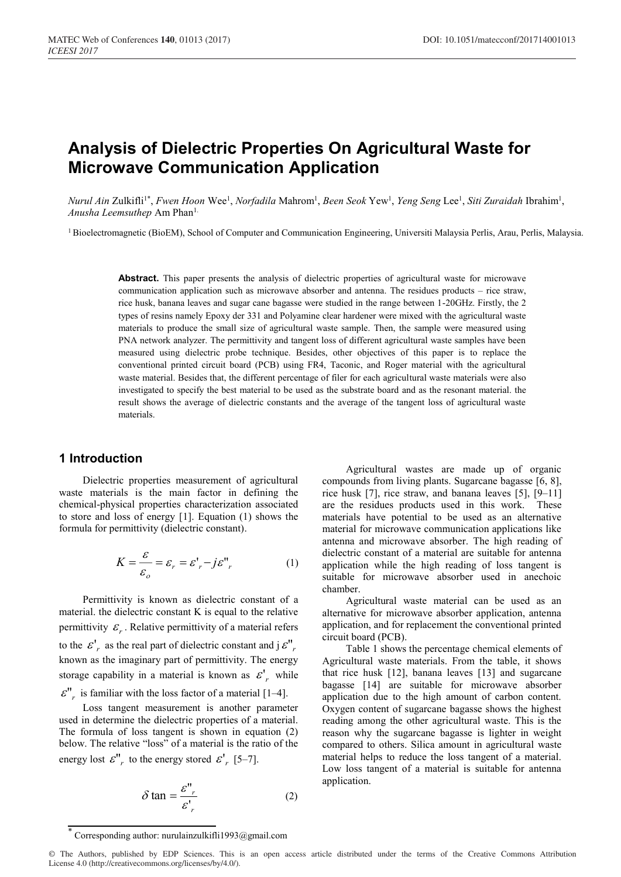# **Analysis of Dielectric Properties On Agricultural Waste for Microwave Communication Application**

*Nurul Ain Z*ulkifli<sup>1\*</sup>, *Fwen Hoon* Wee<sup>1</sup>, *Norfadila* Mahrom<sup>1</sup>, *Been Seok* Yew<sup>1</sup>, *Yeng Seng Lee<sup>1</sup>, Siti Zuraidah* Ibrahim<sup>1</sup>, *Anusha Leemsuthep* Am Phan1.

<sup>1</sup> Bioelectromagnetic (BioEM), School of Computer and Communication Engineering, Universiti Malaysia Perlis, Arau, Perlis, Malaysia.

Abstract. This paper presents the analysis of dielectric properties of agricultural waste for microwave communication application such as microwave absorber and antenna. The residues products – rice straw, rice husk, banana leaves and sugar cane bagasse were studied in the range between 1-20GHz. Firstly, the 2 types of resins namely Epoxy der 331 and Polyamine clear hardener were mixed with the agricultural waste materials to produce the small size of agricultural waste sample. Then, the sample were measured using PNA network analyzer. The permittivity and tangent loss of different agricultural waste samples have been measured using dielectric probe technique. Besides, other objectives of this paper is to replace the conventional printed circuit board (PCB) using FR4, Taconic, and Roger material with the agricultural waste material. Besides that, the different percentage of filer for each agricultural waste materials were also investigated to specify the best material to be used as the substrate board and as the resonant material. the result shows the average of dielectric constants and the average of the tangent loss of agricultural waste materials.

### **1 Introduction**

Dielectric properties measurement of agricultural waste materials is the main factor in defining the chemical-physical properties characterization associated to store and loss of energy [1]. Equation (1) shows the formula for permittivity (dielectric constant).

$$
K = \frac{\varepsilon}{\varepsilon_o} = \varepsilon_r = \varepsilon_r' - j\varepsilon_{r}'' \tag{1}
$$

Permittivity is known as dielectric constant of a material. the dielectric constant K is equal to the relative permittivity  $\varepsilon_r$ . Relative permittivity of a material refers to the  $\mathcal{E}'_r$  as the real part of dielectric constant and j $\mathcal{E}''_r$ known as the imaginary part of permittivity. The energy storage capability in a material is known as  $\varepsilon'$ <sub>r</sub> while

 $\mathcal{E}_{r}^{\prime\prime}$  is familiar with the loss factor of a material [1–4].

Loss tangent measurement is another parameter used in determine the dielectric properties of a material. The formula of loss tangent is shown in equation (2) below. The relative "loss" of a material is the ratio of the energy lost  $\mathcal{E}_{r}^{\prime\prime}$  to the energy stored  $\mathcal{E}_{r}^{\prime}$  [5–7].

$$
\delta \tan = \frac{\varepsilon_{r}}{\varepsilon_{r}'} \tag{2}
$$

Agricultural wastes are made up of organic compounds from living plants. Sugarcane bagasse [6, 8], rice husk [7], rice straw, and banana leaves [5], [9–11] are the residues products used in this work. These materials have potential to be used as an alternative material for microwave communication applications like antenna and microwave absorber. The high reading of dielectric constant of a material are suitable for antenna application while the high reading of loss tangent is suitable for microwave absorber used in anechoic chamber.

Agricultural waste material can be used as an alternative for microwave absorber application, antenna application, and for replacement the conventional printed circuit board (PCB).

Table 1 shows the percentage chemical elements of Agricultural waste materials. From the table, it shows that rice husk [12], banana leaves [13] and sugarcane bagasse [14] are suitable for microwave absorber application due to the high amount of carbon content. Oxygen content of sugarcane bagasse shows the highest reading among the other agricultural waste. This is the reason why the sugarcane bagasse is lighter in weight compared to others. Silica amount in agricultural waste material helps to reduce the loss tangent of a material. Low loss tangent of a material is suitable for antenna application.

Corresponding author: nurulainzulkifli1993@gmail.com

<sup>©</sup> The Authors, published by EDP Sciences. This is an open access article distributed under the terms of the Creative Commons Attribution License 4.0 (http://creativecommons.org/licenses/by/4.0/).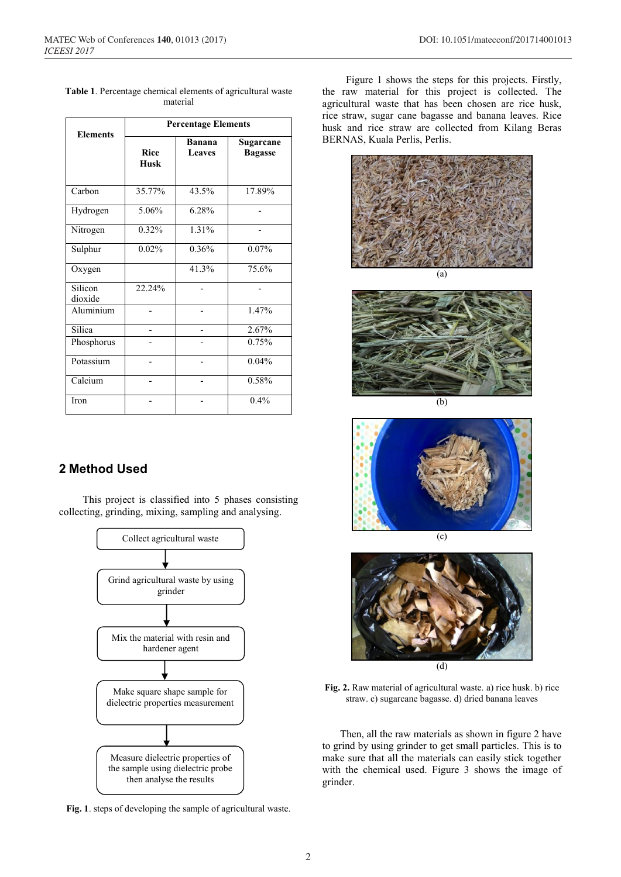|                    | <b>Percentage Elements</b> |                                |                             |  |  |  |
|--------------------|----------------------------|--------------------------------|-----------------------------|--|--|--|
| <b>Elements</b>    | <b>Rice</b><br><b>Husk</b> | <b>Banana</b><br><b>Leaves</b> | Sugarcane<br><b>Bagasse</b> |  |  |  |
| Carbon             | 35.77%                     | 43.5%                          | 17.89%                      |  |  |  |
| Hydrogen           | 5.06%                      | 6.28%                          |                             |  |  |  |
| Nitrogen           | 0.32%                      | 1.31%                          |                             |  |  |  |
| Sulphur            | 0.02%                      | 0.36%                          | 0.07%                       |  |  |  |
| Oxygen             |                            | 41.3%                          | 75.6%                       |  |  |  |
| Silicon<br>dioxide | 22.24%                     |                                |                             |  |  |  |
| Aluminium          |                            |                                | 1.47%                       |  |  |  |
| Silica             |                            |                                | 2.67%                       |  |  |  |
| Phosphorus         |                            |                                | 0.75%                       |  |  |  |
| Potassium          |                            |                                | 0.04%                       |  |  |  |
| Calcium            |                            |                                | 0.58%                       |  |  |  |
| Iron               |                            |                                | 0.4%                        |  |  |  |

**Table 1**. Percentage chemical elements of agricultural waste material

# **2 Method Used**

This project is classified into 5 phases consisting collecting, grinding, mixing, sampling and analysing.



**Fig. 1**. steps of developing the sample of agricultural waste.

Figure 1 shows the steps for this projects. Firstly, the raw material for this project is collected. The agricultural waste that has been chosen are rice husk, rice straw, sugar cane bagasse and banana leaves. Rice husk and rice straw are collected from Kilang Beras BERNAS, Kuala Perlis, Perlis.





(b)





**Fig. 2.** Raw material of agricultural waste. a) rice husk. b) rice straw. c) sugarcane bagasse. d) dried banana leaves

Then, all the raw materials as shown in figure 2 have to grind by using grinder to get small particles. This is to make sure that all the materials can easily stick together with the chemical used. Figure 3 shows the image of grinder.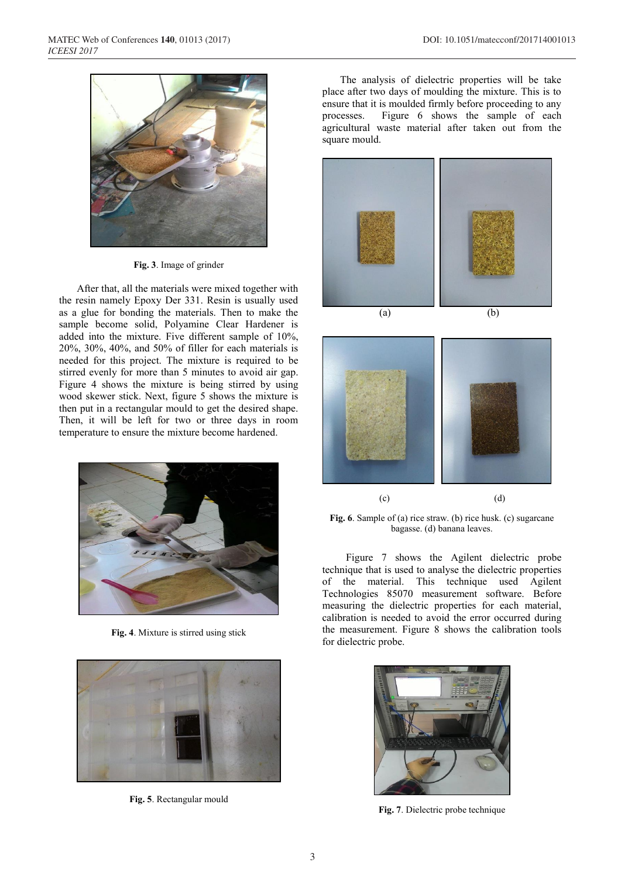

**Fig. 3**. Image of grinder

After that, all the materials were mixed together with the resin namely Epoxy Der 331. Resin is usually used as a glue for bonding the materials. Then to make the sample become solid, Polyamine Clear Hardener is added into the mixture. Five different sample of 10%, 20%, 30%, 40%, and 50% of filler for each materials is needed for this project. The mixture is required to be stirred evenly for more than 5 minutes to avoid air gap. Figure 4 shows the mixture is being stirred by using wood skewer stick. Next, figure 5 shows the mixture is then put in a rectangular mould to get the desired shape. Then, it will be left for two or three days in room temperature to ensure the mixture become hardened.



**Fig. 4**. Mixture is stirred using stick



**Fig. 5**. Rectangular mould

The analysis of dielectric properties will be take place after two days of moulding the mixture. This is to ensure that it is moulded firmly before proceeding to any processes. Figure 6 shows the sample of each agricultural waste material after taken out from the square mould.





**Fig. 6**. Sample of (a) rice straw. (b) rice husk. (c) sugarcane bagasse. (d) banana leaves.

Figure 7 shows the Agilent dielectric probe technique that is used to analyse the dielectric properties of the material. This technique used Agilent Technologies 85070 measurement software. Before measuring the dielectric properties for each material, calibration is needed to avoid the error occurred during the measurement. Figure 8 shows the calibration tools for dielectric probe.



**Fig. 7**. Dielectric probe technique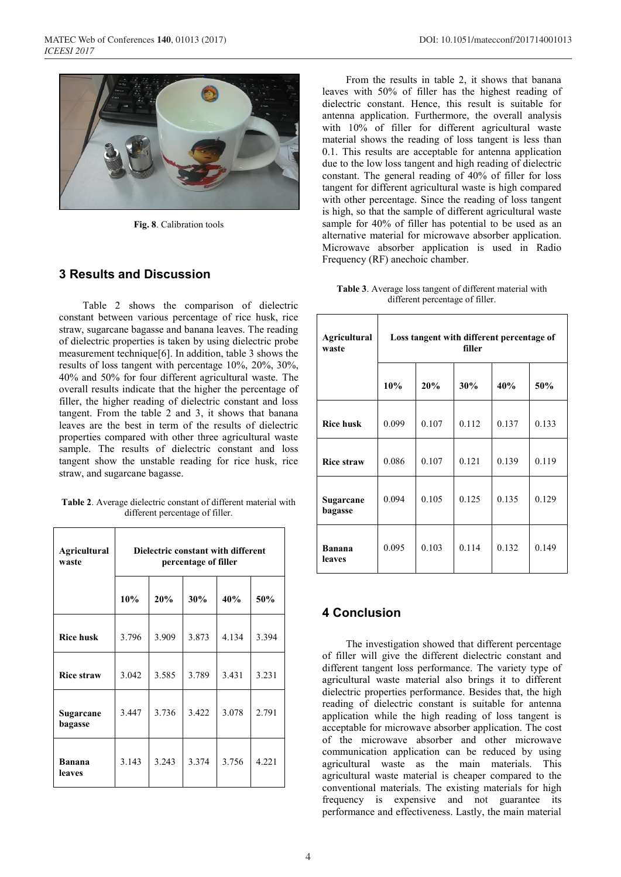

**Fig. 8**. Calibration tools

### **3 Results and Discussion**

Table 2 shows the comparison of dielectric constant between various percentage of rice husk, rice straw, sugarcane bagasse and banana leaves. The reading of dielectric properties is taken by using dielectric probe measurement technique[6]. In addition, table 3 shows the results of loss tangent with percentage 10%, 20%, 30%, 40% and 50% for four different agricultural waste. The overall results indicate that the higher the percentage of filler, the higher reading of dielectric constant and loss tangent. From the table 2 and 3, it shows that banana leaves are the best in term of the results of dielectric properties compared with other three agricultural waste sample. The results of dielectric constant and loss tangent show the unstable reading for rice husk, rice straw, and sugarcane bagasse.

**Table 2**. Average dielectric constant of different material with different percentage of filler.

| <b>Agricultural</b><br>waste | Dielectric constant with different<br>percentage of filler |       |       |       |       |  |
|------------------------------|------------------------------------------------------------|-------|-------|-------|-------|--|
|                              | 10%                                                        | 20%   | 30%   | 40%   | 50%   |  |
| <b>Rice husk</b>             | 3.796                                                      | 3.909 | 3.873 | 4.134 | 3.394 |  |
| <b>Rice straw</b>            | 3.042                                                      | 3.585 | 3.789 | 3.431 | 3.231 |  |
| Sugarcane<br>bagasse         | 3.447                                                      | 3.736 | 3.422 | 3.078 | 2.791 |  |
| <b>Banana</b><br>leaves      | 3.143                                                      | 3.243 | 3.374 | 3.756 | 4.221 |  |

From the results in table 2, it shows that banana leaves with 50% of filler has the highest reading of dielectric constant. Hence, this result is suitable for antenna application. Furthermore, the overall analysis with 10% of filler for different agricultural waste material shows the reading of loss tangent is less than 0.1. This results are acceptable for antenna application due to the low loss tangent and high reading of dielectric constant. The general reading of 40% of filler for loss tangent for different agricultural waste is high compared with other percentage. Since the reading of loss tangent is high, so that the sample of different agricultural waste sample for 40% of filler has potential to be used as an alternative material for microwave absorber application. Microwave absorber application is used in Radio Frequency (RF) anechoic chamber.

| Table 3. Average loss tangent of different material with |  |
|----------------------------------------------------------|--|
| different percentage of filler.                          |  |

| <b>Agricultural</b><br>waste | Loss tangent with different percentage of<br>filler |       |       |       |       |  |  |
|------------------------------|-----------------------------------------------------|-------|-------|-------|-------|--|--|
|                              | 10%                                                 | 20%   | 30%   | 40%   | 50%   |  |  |
| <b>Rice husk</b>             | 0.099                                               | 0.107 | 0.112 | 0.137 | 0.133 |  |  |
| <b>Rice straw</b>            | 0.086                                               | 0.107 | 0.121 | 0.139 | 0.119 |  |  |
| Sugarcane<br>bagasse         | 0.094                                               | 0.105 | 0.125 | 0.135 | 0.129 |  |  |
| <b>Banana</b><br>leaves      | 0.095                                               | 0.103 | 0.114 | 0.132 | 0.149 |  |  |

## **4 Conclusion**

The investigation showed that different percentage of filler will give the different dielectric constant and different tangent loss performance. The variety type of agricultural waste material also brings it to different dielectric properties performance. Besides that, the high reading of dielectric constant is suitable for antenna application while the high reading of loss tangent is acceptable for microwave absorber application. The cost of the microwave absorber and other microwave communication application can be reduced by using agricultural waste as the main materials. This agricultural waste material is cheaper compared to the conventional materials. The existing materials for high frequency is expensive and not guarantee its performance and effectiveness. Lastly, the main material